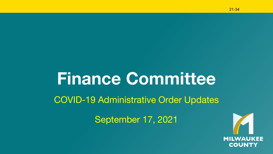# **Finance Committee**

### COVID-19 Administrative Order Updates

September 17, 2021

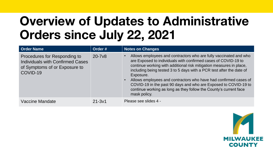### **Overview of Updates to Administrative Orders since July 22, 2021**

| <b>Order Name</b>                                                                                                    | Order #    | Notes on Changes                                                                                                                                                                                                                                                                                                                                                                                                                                                                                                            |
|----------------------------------------------------------------------------------------------------------------------|------------|-----------------------------------------------------------------------------------------------------------------------------------------------------------------------------------------------------------------------------------------------------------------------------------------------------------------------------------------------------------------------------------------------------------------------------------------------------------------------------------------------------------------------------|
| Procedures for Responding to<br><b>Individuals with Confirmed Cases</b><br>of Symptoms of or Exposure to<br>COVID-19 | $20 - 7v8$ | Allows employees and contractors who are fully vaccinated and who<br>are Exposed to individuals with confirmed cases of COVID-19 to<br>continue working with additional risk mitigation measures in place,<br>including being tested 3 to 5 days with a PCR test after the date of<br>Exposure.<br>Allows employees and contractors who have had confirmed cases of<br>COVID-19 in the past 90 days and who are Exposed to COVID-19 to<br>continue working as long as they follow the County's current face<br>mask policy. |
| Vaccine Mandate                                                                                                      | $21 - 3v1$ | Please see slides 4 -                                                                                                                                                                                                                                                                                                                                                                                                                                                                                                       |

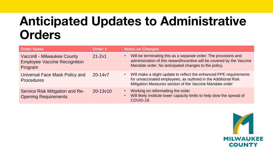### **Anticipated Updates to Administrative Orders**

| <b>Order Name</b>                                                                   | Order #      | <b>Notes on Changes</b>                                                                                                                                                                                       |
|-------------------------------------------------------------------------------------|--------------|---------------------------------------------------------------------------------------------------------------------------------------------------------------------------------------------------------------|
| <b>Vaccin8 - Milwaukee County</b><br><b>Employee Vaccine Recognition</b><br>Program | $21 - 2v1$   | Will be terminating this as a separate order. The provisions and<br>administration of this reward/incentive will be covered by the Vaccine<br>Mandate order. No anticipated changes to the policy.            |
| Universal Face Mask Policy and<br><b>Procedures</b>                                 | $20 - 14v7$  | Will make a slight update to reflect the enhanced PPE requirements<br>$\bullet$<br>for unvaccinated employees, as outlined in the Additional Risk<br>Mitigation Measures section of the Vaccine Mandate order |
| Service Risk Mitigation and Re-<br><b>Opening Requirements</b>                      | $20 - 13v10$ | Working on reformatting the order<br>Will likely institute lower capacity limits to help slow the spread of<br>COVID-19.                                                                                      |

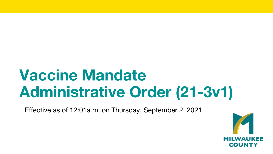# **Vaccine Mandate Administrative Order (21-3v1)**

Effective as of 12:01a.m. on Thursday, September 2, 2021

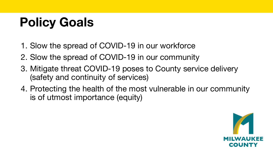# **Policy Goals**

- 1. Slow the spread of COVID-19 in our workforce
- 2. Slow the spread of COVID-19 in our community
- 3. Mitigate threat COVID-19 poses to County service delivery (safety and continuity of services)
- 4. Protecting the health of the most vulnerable in our community is of utmost importance (equity)

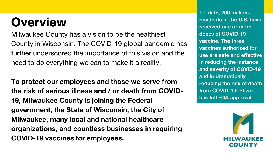### **Overview**

Milwaukee County has a vision to be the healthiest County in Wisconsin. The COVID-19 global pandemic has further underscored the importance of this vision and the need to do everything we can to make it a reality.

**To protect our employees and those we serve from the risk of serious illness and / or death from COVID-19, Milwaukee County is joining the Federal government, the State of Wisconsin, the City of Milwaukee, many local and national healthcare organizations, and countless businesses in requiring COVID-19 vaccines for employees.**

**To-date, 200 million+ residents in the U.S. have received one or more doses of COVID-19 vaccine. The three vaccines authorized for use are safe and effective in reducing the instance and severity of COVID-19 and in dramatically reducing the risk of death from COVID-19; Pfizer has full FDA approval.**

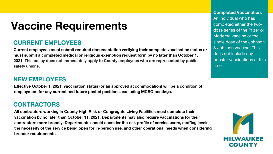### **Vaccine Requirements**

#### **CURRENT EMPLOYEES**

**Current employees must submit required documentation verifying their complete vaccination status or must submit a completed medical or religious exemption request form by no later than October 1, 2021. This policy does not immediately apply to County employees who are represented by public safety unions.**

#### **NEW EMPLOYEES**

**Effective October 1, 2021, vaccination status (or an approved accommodation) will be a condition of employment for any current and future posted positions, excluding MCSO postings.** 

#### **CONTRACTORS**

**All contractors working in County High Risk or Congregate Living Facilities must complete their vaccination by no later than October 11, 2021. Departments may also require vaccinations for their contractors more broadly. Departments should consider the risk profile of service users, staffing levels, the necessity of the service being open for in-person use, and other operational needs when considering broader requirements.**

**Completed Vaccination:**  An individual who has completed either the twodose series of the Pfizer or Moderna vaccine or the single dose of the Johnson & Johnson vaccine. This does not include any booster vaccinations at this time.

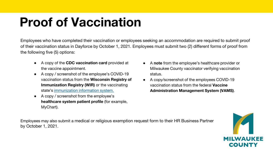### **Proof of Vaccination**

Employees who have completed their vaccination or employees seeking an accommodation are required to submit proof of their vaccination status in Dayforce by October 1, 2021. Employees must submit two (2) different forms of proof from the following five (5) options:

- A copy of the **CDC vaccination card** provided at the vaccine appointment.
- A copy / screenshot of the employee's COVID-19 vaccination status from the **Wisconsin Registry of Immunization Registry (WIR)** or the vaccinating state's [immunization information system.](https://www.cdc.gov/vaccines/programs/iis/contacts-locate-records.html)
- A copy / screenshot from the employee's **healthcare system patient profile** (for example, MyChart).
- A **note** from the employee's healthcare provider or Milwaukee County vaccinator verifying vaccination status.
- A copy/screenshot of the employees COVID-19 vaccination status from the federal **Vaccine Administration Management System (VAMS)**.

Employees may also submit a medical or religious exemption request form to their HR Business Partner by October 1, 2021.

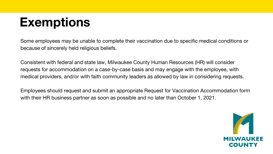## **Exemptions**

Some employees may be unable to complete their vaccination due to specific medical conditions or because of sincerely held religious beliefs.

Consistent with federal and state law, Milwaukee County Human Resources (HR) will consider requests for accommodation on a case-by-case basis and may engage with the employee, with medical providers, and/or with faith community leaders as allowed by law in considering requests.

Employees should request and submit an appropriate Request for Vaccination Accommodation form with their HR business partner as soon as possible and no later than October 1, 2021.

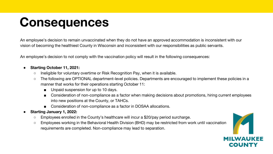### **Consequences**

An employee's decision to remain unvaccinated when they do not have an approved accommodation is inconsistent with our vision of becoming the healthiest County in Wisconsin and inconsistent with our responsibilities as public servants.

An employee's decision to not comply with the vaccination policy will result in the following consequences:

#### ● **Starting October 11, 2021:**

- Ineligible for voluntary overtime or Risk Recognition Pay, when it is available.
- The following are OPTIONAL department-level policies. Departments are encouraged to implement these policies in a manner that works for their operations starting October 11:
	- Unpaid suspension for up to 10 days.
	- Consideration of non-compliance as a factor when making decisions about promotions, hiring current employees into new positions at the County, or TAHCs.
	- Consideration of non-compliance as a factor in DOSAA allocations.

#### ● **Starting January 1, 2022:**

- Employees enrolled in the County's healthcare will incur a \$20/pay period surcharge.
- Employees working in the Behavioral Health Division (BHD) may be restricted from work until vaccination requirements are completed. Non-compliance may lead to separation.

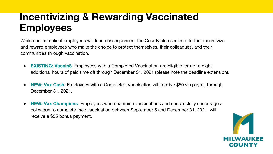### **Incentivizing & Rewarding Vaccinated Employees**

While non-compliant employees will face consequences, the County also seeks to further incentivize and reward employees who make the choice to protect themselves, their colleagues, and their communities through vaccination.

- **EXISTING: Vaccin8:** Employees with a Completed Vaccination are eligible for up to eight additional hours of paid time off through December 31, 2021 (please note the deadline extension).
- **NEW: Vax Cash:** Employees with a Completed Vaccination will receive \$50 via payroll through December 31, 2021.
- **NEW: Vax Champions**: Employees who champion vaccinations and successfully encourage a colleague to complete their vaccination between September 5 and December 31, 2021, will receive a \$25 bonus payment.